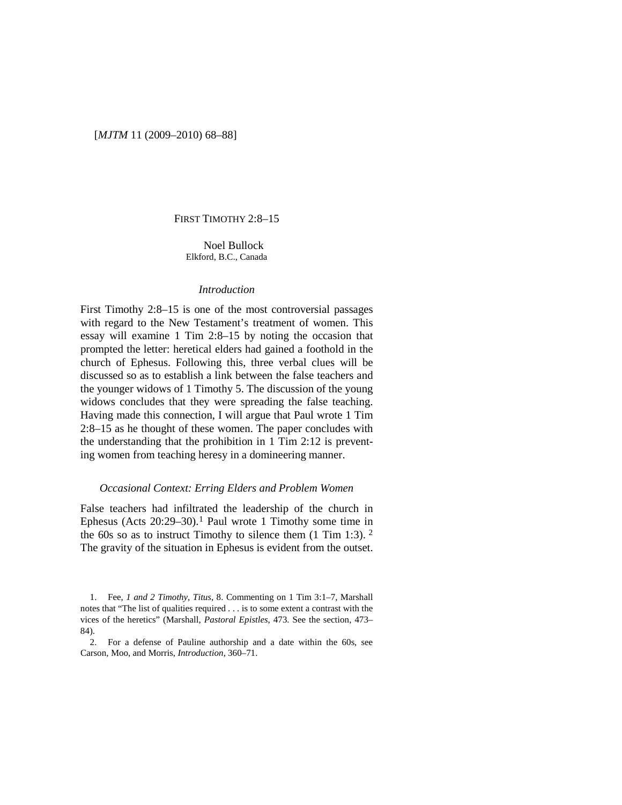#### [*MJTM* 11 (2009–2010) 68–88]

## FIRST TIMOTHY 2:8–15

Noel Bullock Elkford, B.C., Canada

#### *Introduction*

First Timothy 2:8–15 is one of the most controversial passages with regard to the New Testament's treatment of women. This essay will examine 1 Tim 2:8–15 by noting the occasion that prompted the letter: heretical elders had gained a foothold in the church of Ephesus. Following this, three verbal clues will be discussed so as to establish a link between the false teachers and the younger widows of 1 Timothy 5. The discussion of the young widows concludes that they were spreading the false teaching. Having made this connection, I will argue that Paul wrote 1 Tim 2:8–15 as he thought of these women. The paper concludes with the understanding that the prohibition in 1 Tim 2:12 is preventing women from teaching heresy in a domineering manner.

#### *Occasional Context: Erring Elders and Problem Women*

False teachers had infiltrated the leadership of the church in Ephesus (Acts  $20:29-30$ ).<sup>[1](#page-0-0)</sup> Paul wrote 1 Timothy some time in the 60s so as to instruct Timothy to silence them  $(1 \text{ Tim } 1:3)$ . <sup>[2](#page-0-1)</sup> The gravity of the situation in Ephesus is evident from the outset.

<span id="page-0-0"></span><sup>1.</sup> Fee, *1 and 2 Timothy*, *Titus*, 8. Commenting on 1 Tim 3:1–7, Marshall notes that "The list of qualities required . . . is to some extent a contrast with the vices of the heretics" (Marshall, *Pastoral Epistles*, 473. See the section, 473– 84).

<span id="page-0-1"></span><sup>2.</sup> For a defense of Pauline authorship and a date within the 60s, see Carson, Moo, and Morris, *Introduction*, 360–71.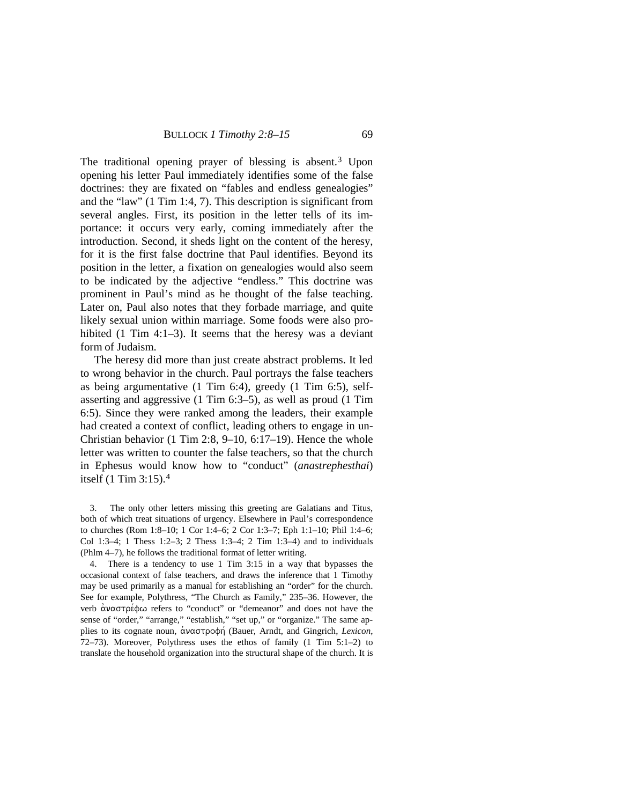The traditional opening prayer of blessing is absent.<sup>[3](#page-1-0)</sup> Upon opening his letter Paul immediately identifies some of the false doctrines: they are fixated on "fables and endless genealogies" and the "law" (1 Tim 1:4, 7). This description is significant from several angles. First, its position in the letter tells of its importance: it occurs very early, coming immediately after the introduction. Second, it sheds light on the content of the heresy, for it is the first false doctrine that Paul identifies. Beyond its position in the letter, a fixation on genealogies would also seem to be indicated by the adjective "endless." This doctrine was prominent in Paul's mind as he thought of the false teaching. Later on, Paul also notes that they forbade marriage, and quite likely sexual union within marriage. Some foods were also prohibited (1 Tim 4:1–3). It seems that the heresy was a deviant form of Judaism.

The heresy did more than just create abstract problems. It led to wrong behavior in the church. Paul portrays the false teachers as being argumentative (1 Tim 6:4), greedy (1 Tim 6:5), selfasserting and aggressive (1 Tim 6:3–5), as well as proud (1 Tim 6:5). Since they were ranked among the leaders, their example had created a context of conflict, leading others to engage in un-Christian behavior (1 Tim 2:8, 9–10, 6:17–19). Hence the whole letter was written to counter the false teachers, so that the church in Ephesus would know how to "conduct" (*anastrephesthai*) itself (1 Tim 3:15). [4](#page-1-1)

<span id="page-1-0"></span>3. The only other letters missing this greeting are Galatians and Titus, both of which treat situations of urgency. Elsewhere in Paul's correspondence to churches (Rom 1:8–10; 1 Cor 1:4–6; 2 Cor 1:3–7; Eph 1:1–10; Phil 1:4–6; Col 1:3–4; 1 Thess 1:2–3; 2 Thess 1:3–4; 2 Tim 1:3–4) and to individuals (Phlm 4–7), he follows the traditional format of letter writing.

<span id="page-1-1"></span>4. There is a tendency to use 1 Tim 3:15 in a way that bypasses the occasional context of false teachers, and draws the inference that 1 Timothy may be used primarily as a manual for establishing an "order" for the church. See for example, Polythress, "The Church as Family," 235–36. However, the verb  $\alpha$ ναστρέφω refers to "conduct" or "demeanor" and does not have the sense of "order," "arrange," "establish," "set up," or "organize." The same applies to its cognate noun, αναστροφή (Bauer, Arndt, and Gingrich, *Lexicon*, 72–73). Moreover, Polythress uses the ethos of family (1 Tim 5:1–2) to translate the household organization into the structural shape of the church. It is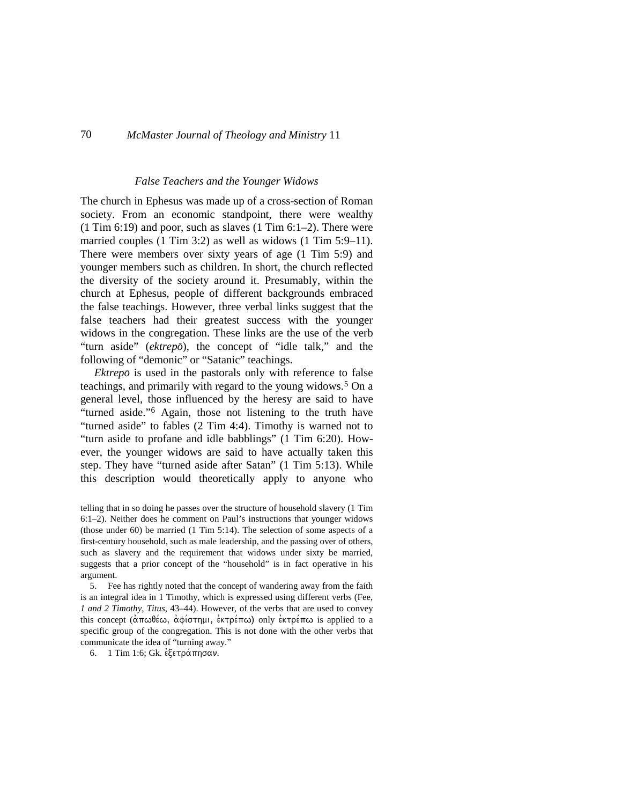#### *False Teachers and the Younger Widows*

The church in Ephesus was made up of a cross-section of Roman society. From an economic standpoint, there were wealthy  $(1$  Tim 6:19) and poor, such as slaves  $(1 \text{ Tim } 6:1-2)$ . There were married couples (1 Tim 3:2) as well as widows (1 Tim 5:9–11). There were members over sixty years of age (1 Tim 5:9) and younger members such as children. In short, the church reflected the diversity of the society around it. Presumably, within the church at Ephesus, people of different backgrounds embraced the false teachings. However, three verbal links suggest that the false teachers had their greatest success with the younger widows in the congregation. These links are the use of the verb "turn aside" (*ektrepo*<), the concept of "idle talk," and the following of "demonic" or "Satanic" teachings.

*Ektrepo* is used in the pastorals only with reference to false teachings, and primarily with regard to the young widows.[5](#page-2-0) On a general level, those influenced by the heresy are said to have "turned aside."[6](#page-2-1) Again, those not listening to the truth have "turned aside" to fables (2 Tim 4:4). Timothy is warned not to "turn aside to profane and idle babblings" (1 Tim 6:20). However, the younger widows are said to have actually taken this step. They have "turned aside after Satan" (1 Tim 5:13). While this description would theoretically apply to anyone who

telling that in so doing he passes over the structure of household slavery (1 Tim 6:1–2). Neither does he comment on Paul's instructions that younger widows (those under 60) be married (1 Tim 5:14). The selection of some aspects of a first-century household, such as male leadership, and the passing over of others, such as slavery and the requirement that widows under sixty be married, suggests that a prior concept of the "household" is in fact operative in his argument.

<span id="page-2-0"></span>5. Fee has rightly noted that the concept of wandering away from the faith is an integral idea in 1 Timothy, which is expressed using different verbs (Fee, *1 and 2 Timothy, Titus*, 43–44). However, of the verbs that are used to convey this concept (απωθέω, αφίστημι, εκτρέπω) only εκτρέπω is applied to a specific group of the congregation. This is not done with the other verbs that communicate the idea of "turning away."

<span id="page-2-1"></span>6. 1 Tim 1:6; Gk. εξετράπησαν.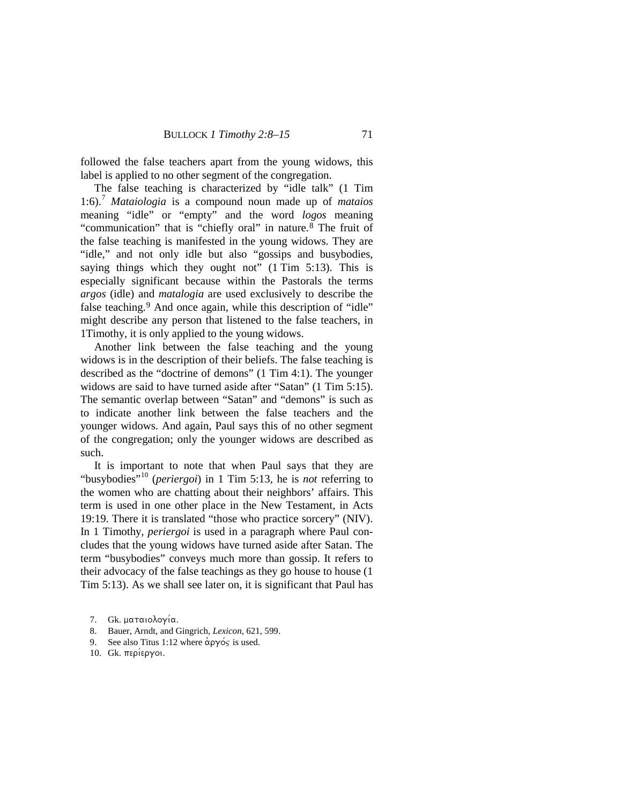followed the false teachers apart from the young widows, this label is applied to no other segment of the congregation.

The false teaching is characterized by "idle talk" (1 Tim 1:6).[7](#page-3-0) *Mataiologia* is a compound noun made up of *mataios* meaning "idle" or "empty" and the word *logos* meaning "communication" that is "chiefly oral" in nature.[8](#page-3-1) The fruit of the false teaching is manifested in the young widows. They are "idle," and not only idle but also "gossips and busybodies, saying things which they ought not" (1 Tim 5:13). This is especially significant because within the Pastorals the terms *argos* (idle) and *matalogia* are used exclusively to describe the false teaching.<sup>[9](#page-3-2)</sup> And once again, while this description of "idle" might describe any person that listened to the false teachers, in 1Timothy, it is only applied to the young widows.

Another link between the false teaching and the young widows is in the description of their beliefs. The false teaching is described as the "doctrine of demons" (1 Tim 4:1). The younger widows are said to have turned aside after "Satan" (1 Tim 5:15). The semantic overlap between "Satan" and "demons" is such as to indicate another link between the false teachers and the younger widows. And again, Paul says this of no other segment of the congregation; only the younger widows are described as such.

It is important to note that when Paul says that they are "busybodies<sup>"[10](#page-3-3)</sup> (*periergoi*) in 1 Tim 5:13, he is *not* referring to the women who are chatting about their neighbors' affairs. This term is used in one other place in the New Testament, in Acts 19:19. There it is translated "those who practice sorcery" (NIV). In 1 Timothy, *periergoi* is used in a paragraph where Paul concludes that the young widows have turned aside after Satan. The term "busybodies" conveys much more than gossip. It refers to their advocacy of the false teachings as they go house to house (1 Tim 5:13). As we shall see later on, it is significant that Paul has

- 8. Bauer, Arndt, and Gingrich, *Lexicon*, 621, 599.
- <span id="page-3-3"></span><span id="page-3-2"></span>9. See also Titus 1:12 where  $\alpha$ <sup>o</sup> $\gamma$ <sup>o</sup> $\gamma$  is used.
- 10. Gk. περίεργοι.

<span id="page-3-1"></span><span id="page-3-0"></span><sup>7.</sup> Gk. ματαιολογία.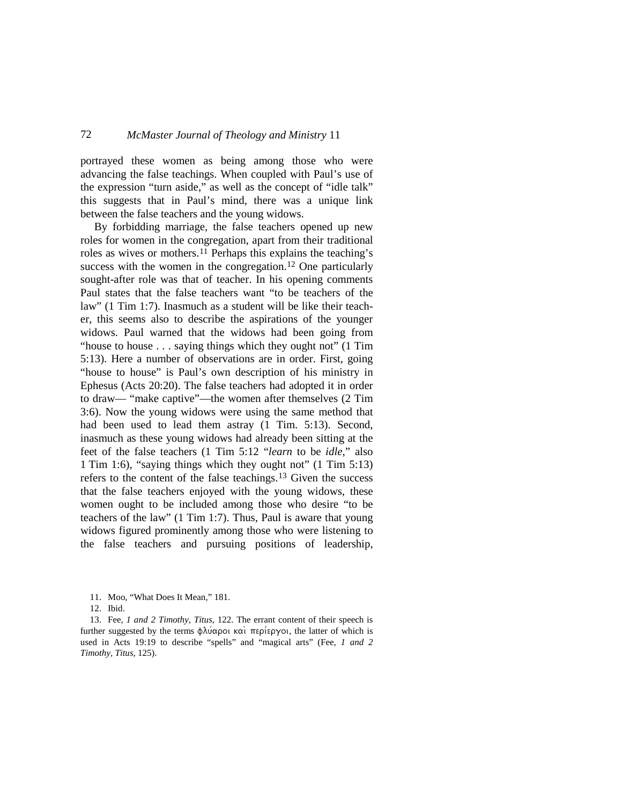portrayed these women as being among those who were advancing the false teachings. When coupled with Paul's use of the expression "turn aside," as well as the concept of "idle talk" this suggests that in Paul's mind, there was a unique link between the false teachers and the young widows.

By forbidding marriage, the false teachers opened up new roles for women in the congregation, apart from their traditional roles as wives or mothers.[11](#page-4-0) Perhaps this explains the teaching's success with the women in the congregation.<sup>[12](#page-4-1)</sup> One particularly sought-after role was that of teacher. In his opening comments Paul states that the false teachers want "to be teachers of the law" (1 Tim 1:7). Inasmuch as a student will be like their teacher, this seems also to describe the aspirations of the younger widows. Paul warned that the widows had been going from "house to house . . . saying things which they ought not" (1 Tim 5:13). Here a number of observations are in order. First, going "house to house" is Paul's own description of his ministry in Ephesus (Acts 20:20). The false teachers had adopted it in order to draw— "make captive"—the women after themselves (2 Tim 3:6). Now the young widows were using the same method that had been used to lead them astray (1 Tim. 5:13). Second, inasmuch as these young widows had already been sitting at the feet of the false teachers (1 Tim 5:12 "*learn* to be *idle*," also 1 Tim 1:6), "saying things which they ought not" (1 Tim 5:13) refers to the content of the false teachings.<sup>[13](#page-4-2)</sup> Given the success that the false teachers enjoyed with the young widows, these women ought to be included among those who desire "to be teachers of the law" (1 Tim 1:7). Thus, Paul is aware that young widows figured prominently among those who were listening to the false teachers and pursuing positions of leadership,

12. Ibid.

<span id="page-4-2"></span><span id="page-4-1"></span><span id="page-4-0"></span>13. Fee, *1 and 2 Timothy, Titus*, 122. The errant content of their speech is further suggested by the terms  $\phi\lambda\acute{\iota}\alpha\rho\acute{\iota}$   $\alpha\acute{\iota}$   $\pi\epsilon\rho\acute{\iota}\epsilon\rho\gamma\acute{\iota}$ , the latter of which is used in Acts 19:19 to describe "spells" and "magical arts" (Fee, *1 and 2 Timothy, Titus*, 125).

<sup>11.</sup> Moo, "What Does It Mean," 181.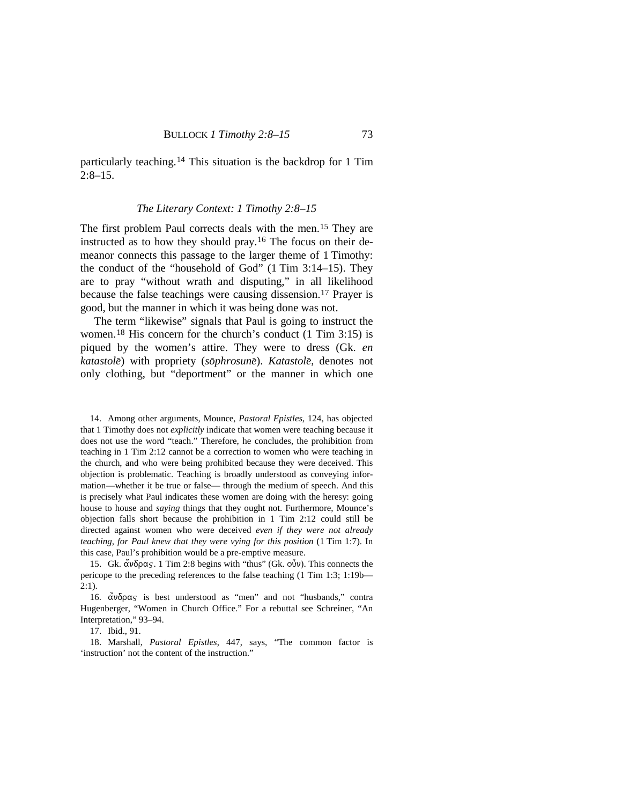particularly teaching.[14](#page-5-0) This situation is the backdrop for 1 Tim 2:8–15.

#### *The Literary Context: 1 Timothy 2:8–15*

The first problem Paul corrects deals with the men.<sup>[15](#page-5-1)</sup> They are instructed as to how they should pray.[16](#page-5-2) The focus on their demeanor connects this passage to the larger theme of 1 Timothy: the conduct of the "household of God" (1 Tim 3:14–15). They are to pray "without wrath and disputing," in all likelihood because the false teachings were causing dissension.<sup>[17](#page-5-3)</sup> Prayer is good, but the manner in which it was being done was not.

The term "likewise" signals that Paul is going to instruct the women. [18](#page-5-4) His concern for the church's conduct (1 Tim 3:15) is piqued by the women's attire. They were to dress (Gk. *en katastole*<) with propriety (*so*<*phrosune*<). *Katastole*<, denotes not only clothing, but "deportment" or the manner in which one

<span id="page-5-0"></span>14. Among other arguments, Mounce, *Pastoral Epistles*, 124, has objected that 1 Timothy does not *explicitly* indicate that women were teaching because it does not use the word "teach." Therefore, he concludes, the prohibition from teaching in 1 Tim 2:12 cannot be a correction to women who were teaching in the church, and who were being prohibited because they were deceived. This objection is problematic. Teaching is broadly understood as conveying information—whether it be true or false— through the medium of speech. And this is precisely what Paul indicates these women are doing with the heresy: going house to house and *saying* things that they ought not. Furthermore, Mounce's objection falls short because the prohibition in 1 Tim 2:12 could still be directed against women who were deceived *even if they were not already teaching, for Paul knew that they were vying for this position* (1 Tim 1:7). In this case, Paul's prohibition would be a pre-emptive measure.

<span id="page-5-1"></span>15. Gk.  $\alpha \nu \delta \rho \alpha$ . 1 Tim 2:8 begins with "thus" (Gk.  $\sigma \nu \nu$ ). This connects the pericope to the preceding references to the false teaching (1 Tim 1:3; 1:19b— 2:1).

<span id="page-5-2"></span>16.  $\alpha \nu \delta \rho \alpha$  is best understood as "men" and not "husbands," contra Hugenberger, "Women in Church Office." For a rebuttal see Schreiner, "An Interpretation," 93–94.

17. Ibid., 91.

<span id="page-5-4"></span><span id="page-5-3"></span>18. Marshall, *Pastoral Epistles*, 447, says, "The common factor is 'instruction' not the content of the instruction."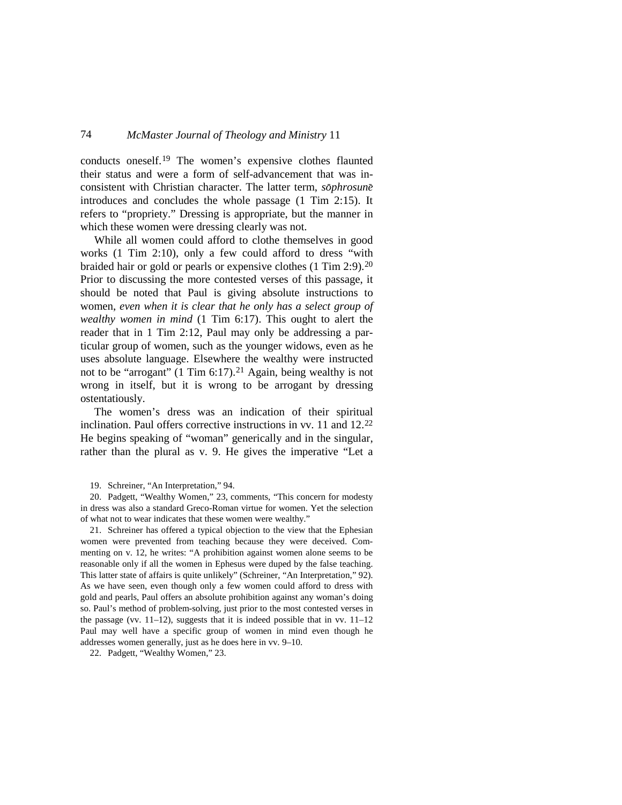conducts oneself.[19](#page-6-0) The women's expensive clothes flaunted their status and were a form of self-advancement that was inconsistent with Christian character. The latter term,  $s\bar{o}phrosun\bar{e}$ introduces and concludes the whole passage (1 Tim 2:15). It refers to "propriety." Dressing is appropriate, but the manner in which these women were dressing clearly was not.

While all women could afford to clothe themselves in good works (1 Tim 2:10), only a few could afford to dress "with braided hair or gold or pearls or expensive clothes (1 Tim 2:9).<sup>[20](#page-6-1)</sup> Prior to discussing the more contested verses of this passage, it should be noted that Paul is giving absolute instructions to women, *even when it is clear that he only has a select group of wealthy women in mind* (1 Tim 6:17). This ought to alert the reader that in 1 Tim 2:12, Paul may only be addressing a particular group of women, such as the younger widows, even as he uses absolute language. Elsewhere the wealthy were instructed not to be "arrogant" (1 Tim 6:17).<sup>[21](#page-6-2)</sup> Again, being wealthy is not wrong in itself, but it is wrong to be arrogant by dressing ostentatiously.

The women's dress was an indication of their spiritual inclination. Paul offers corrective instructions in vv. 11 and 12. [22](#page-6-3) He begins speaking of "woman" generically and in the singular, rather than the plural as v. 9. He gives the imperative "Let a

19. Schreiner, "An Interpretation," 94.

<span id="page-6-1"></span><span id="page-6-0"></span>20. Padgett, "Wealthy Women," 23, comments, "This concern for modesty in dress was also a standard Greco-Roman virtue for women. Yet the selection of what not to wear indicates that these women were wealthy."

<span id="page-6-2"></span>21. Schreiner has offered a typical objection to the view that the Ephesian women were prevented from teaching because they were deceived. Commenting on v. 12, he writes: "A prohibition against women alone seems to be reasonable only if all the women in Ephesus were duped by the false teaching. This latter state of affairs is quite unlikely" (Schreiner, "An Interpretation," 92). As we have seen, even though only a few women could afford to dress with gold and pearls, Paul offers an absolute prohibition against any woman's doing so. Paul's method of problem-solving, just prior to the most contested verses in the passage (vv.  $11-12$ ), suggests that it is indeed possible that in vv.  $11-12$ Paul may well have a specific group of women in mind even though he addresses women generally, just as he does here in vv. 9–10.

<span id="page-6-3"></span>22. Padgett, "Wealthy Women," 23.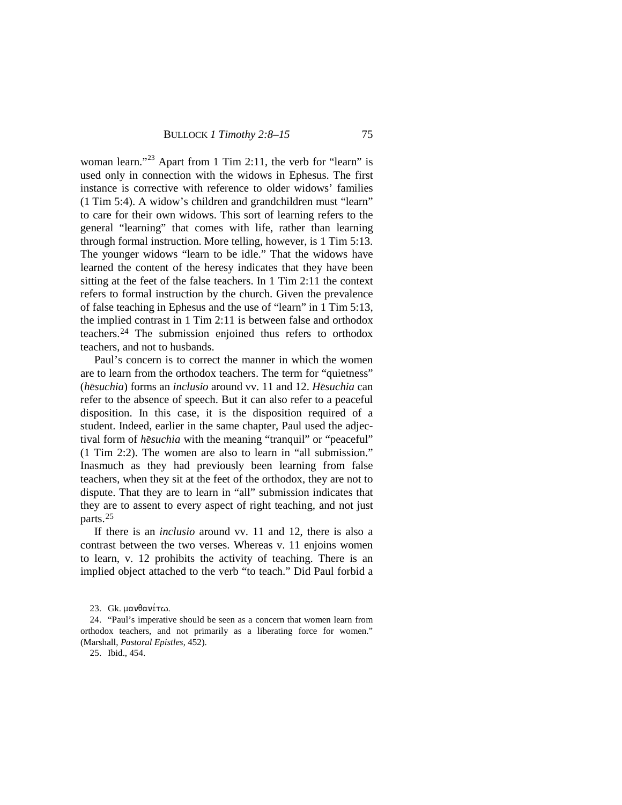woman learn."<sup>[23](#page-7-0)</sup> Apart from 1 Tim 2:11, the verb for "learn" is used only in connection with the widows in Ephesus. The first instance is corrective with reference to older widows' families (1 Tim 5:4). A widow's children and grandchildren must "learn" to care for their own widows. This sort of learning refers to the general "learning" that comes with life, rather than learning through formal instruction. More telling, however, is 1 Tim 5:13. The younger widows "learn to be idle." That the widows have learned the content of the heresy indicates that they have been sitting at the feet of the false teachers. In 1 Tim 2:11 the context refers to formal instruction by the church. Given the prevalence of false teaching in Ephesus and the use of "learn" in 1 Tim 5:13, the implied contrast in 1 Tim 2:11 is between false and orthodox teachers[.24](#page-7-1) The submission enjoined thus refers to orthodox teachers, and not to husbands.

Paul's concern is to correct the manner in which the women are to learn from the orthodox teachers. The term for "quietness" (*h*e*suchia*) forms an *inclusio* around vv. 11 and 12. *He<sub>suchia</sub>* can refer to the absence of speech. But it can also refer to a peaceful disposition. In this case, it is the disposition required of a student. Indeed, earlier in the same chapter, Paul used the adjectival form of *hesuchia* with the meaning "tranquil" or "peaceful" (1 Tim 2:2). The women are also to learn in "all submission." Inasmuch as they had previously been learning from false teachers, when they sit at the feet of the orthodox, they are not to dispute. That they are to learn in "all" submission indicates that they are to assent to every aspect of right teaching, and not just parts. [25](#page-7-2)

If there is an *inclusio* around vv. 11 and 12, there is also a contrast between the two verses. Whereas v. 11 enjoins women to learn, v. 12 prohibits the activity of teaching. There is an implied object attached to the verb "to teach." Did Paul forbid a

25. Ibid., 454.

<sup>23.</sup> Gk. μανθανέτω.

<span id="page-7-2"></span><span id="page-7-1"></span><span id="page-7-0"></span><sup>24.</sup> "Paul's imperative should be seen as a concern that women learn from orthodox teachers, and not primarily as a liberating force for women." (Marshall, *Pastoral Epistles*, 452).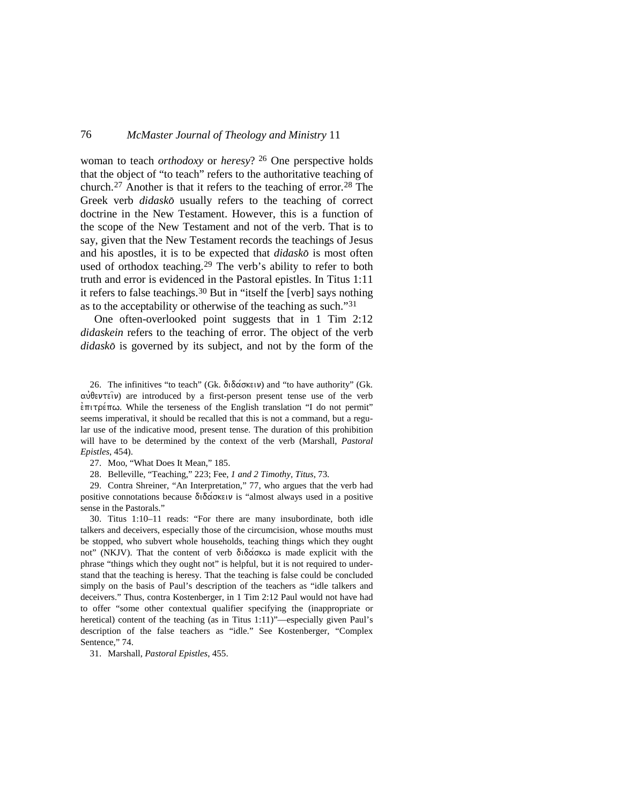woman to teach *orthodoxy* or *heresy*? [26](#page-8-0) One perspective holds that the object of "to teach" refers to the authoritative teaching of church.<sup>[27](#page-8-1)</sup> Another is that it refers to the teaching of error.<sup>[28](#page-8-2)</sup> The Greek verb *didasko* usually refers to the teaching of correct doctrine in the New Testament. However, this is a function of the scope of the New Testament and not of the verb. That is to say, given that the New Testament records the teachings of Jesus and his apostles, it is to be expected that *didasko* is most often used of orthodox teaching.<sup>[29](#page-8-3)</sup> The verb's ability to refer to both truth and error is evidenced in the Pastoral epistles. In Titus 1:11 it refers to false teachings.[30](#page-8-4) But in "itself the [verb] says nothing as to the acceptability or otherwise of the teaching as such.["31](#page-8-5)

One often-overlooked point suggests that in 1 Tim 2:12 *didaskein* refers to the teaching of error. The object of the verb *didasko*< is governed by its subject, and not by the form of the

<span id="page-8-0"></span>26. The infinitives "to teach" (Gk. διδάσκειν) and "to have authority" (Gk.  $\alpha\dot{\beta}$ evergiv) are introduced by a first-person present tense use of the verb  $\epsilon \pi \iota \tau \rho \epsilon \pi \omega$ . While the terseness of the English translation "I do not permit" seems imperatival, it should be recalled that this is not a command, but a regular use of the indicative mood, present tense. The duration of this prohibition will have to be determined by the context of the verb (Marshall, *Pastoral Epistles*, 454).

27. Moo, "What Does It Mean," 185.

28. Belleville, "Teaching," 223; Fee, *1 and 2 Timothy, Titus*, 73.

<span id="page-8-3"></span><span id="page-8-2"></span><span id="page-8-1"></span>29. Contra Shreiner, "An Interpretation," 77, who argues that the verb had positive connotations because  $\delta \delta \alpha \infty$  is "almost always used in a positive sense in the Pastorals."

<span id="page-8-4"></span>30. Titus 1:10–11 reads: "For there are many insubordinate, both idle talkers and deceivers, especially those of the circumcision, whose mouths must be stopped, who subvert whole households, teaching things which they ought not" (NKJV). That the content of verb διδάσκω is made explicit with the phrase "things which they ought not" is helpful, but it is not required to understand that the teaching is heresy. That the teaching is false could be concluded simply on the basis of Paul's description of the teachers as "idle talkers and deceivers." Thus, contra Kostenberger, in 1 Tim 2:12 Paul would not have had to offer "some other contextual qualifier specifying the (inappropriate or heretical) content of the teaching (as in Titus 1:11)"—especially given Paul's description of the false teachers as "idle." See Kostenberger, "Complex Sentence," 74.

<span id="page-8-5"></span>31. Marshall, *Pastoral Epistles*, 455.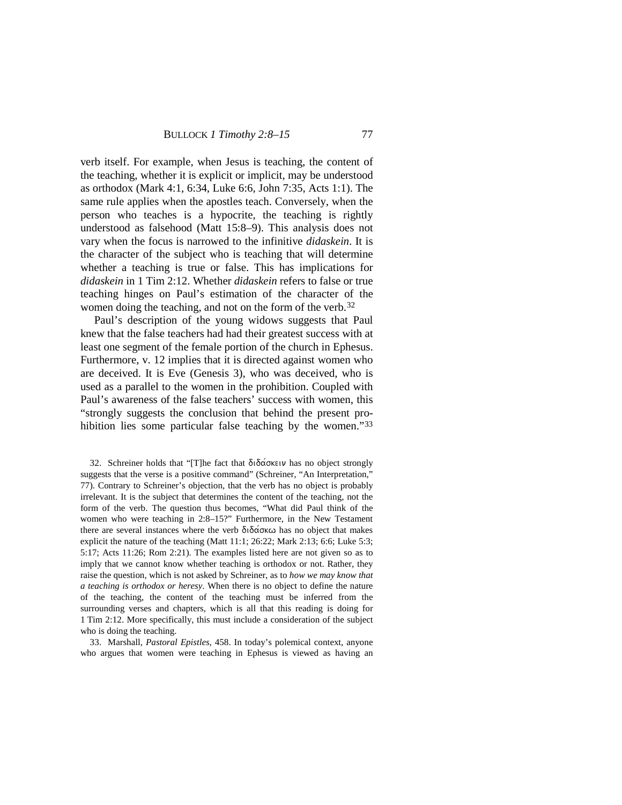verb itself. For example, when Jesus is teaching, the content of the teaching, whether it is explicit or implicit, may be understood as orthodox (Mark 4:1, 6:34, Luke 6:6, John 7:35, Acts 1:1). The same rule applies when the apostles teach. Conversely, when the person who teaches is a hypocrite, the teaching is rightly understood as falsehood (Matt 15:8–9). This analysis does not vary when the focus is narrowed to the infinitive *didaskein*. It is the character of the subject who is teaching that will determine whether a teaching is true or false. This has implications for *didaskein* in 1 Tim 2:12. Whether *didaskein* refers to false or true teaching hinges on Paul's estimation of the character of the women doing the teaching, and not on the form of the verb.<sup>[32](#page-9-0)</sup>

Paul's description of the young widows suggests that Paul knew that the false teachers had had their greatest success with at least one segment of the female portion of the church in Ephesus. Furthermore, v. 12 implies that it is directed against women who are deceived. It is Eve (Genesis 3), who was deceived, who is used as a parallel to the women in the prohibition. Coupled with Paul's awareness of the false teachers' success with women, this "strongly suggests the conclusion that behind the present pro-hibition lies some particular false teaching by the women."[33](#page-9-1)

<span id="page-9-0"></span>32. Schreiner holds that "[T]he fact that  $\delta \tilde{\delta}$ ασκειν has no object strongly suggests that the verse is a positive command" (Schreiner, "An Interpretation," 77). Contrary to Schreiner's objection, that the verb has no object is probably irrelevant. It is the subject that determines the content of the teaching, not the form of the verb. The question thus becomes, "What did Paul think of the women who were teaching in 2:8–15?" Furthermore, in the New Testament there are several instances where the verb  $\delta \tilde{\delta}$  and  $\tilde{\delta}$  as no object that makes explicit the nature of the teaching (Matt 11:1; 26:22; Mark 2:13; 6:6; Luke 5:3; 5:17; Acts 11:26; Rom 2:21). The examples listed here are not given so as to imply that we cannot know whether teaching is orthodox or not. Rather, they raise the question, which is not asked by Schreiner, as to *how we may know that a teaching is orthodox or heresy*. When there is no object to define the nature of the teaching, the content of the teaching must be inferred from the surrounding verses and chapters, which is all that this reading is doing for 1 Tim 2:12. More specifically, this must include a consideration of the subject who is doing the teaching.

<span id="page-9-1"></span>33. Marshall, *Pastoral Epistles*, 458. In today's polemical context, anyone who argues that women were teaching in Ephesus is viewed as having an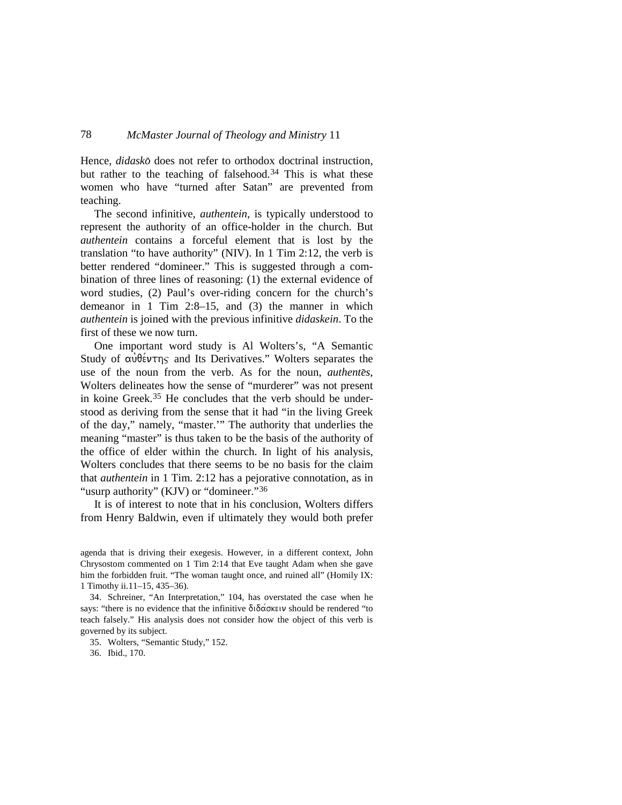Hence, *didasko* does not refer to orthodox doctrinal instruction, but rather to the teaching of falsehood.<sup>[34](#page-10-0)</sup> This is what these women who have "turned after Satan" are prevented from teaching.

The second infinitive, *authentein*, is typically understood to represent the authority of an office-holder in the church. But *authentein* contains a forceful element that is lost by the translation "to have authority" (NIV). In 1 Tim 2:12, the verb is better rendered "domineer." This is suggested through a combination of three lines of reasoning: (1) the external evidence of word studies, (2) Paul's over-riding concern for the church's demeanor in 1 Tim 2:8–15, and (3) the manner in which *authentein* is joined with the previous infinitive *didaskein*. To the first of these we now turn.

One important word study is Al Wolters's, "A Semantic Study of  $\alpha \hat{\theta}$  audiofying and Its Derivatives." Wolters separates the use of the noun from the verb. As for the noun, *authente*<*s*, Wolters delineates how the sense of "murderer" was not present in koine Greek.[35](#page-10-1) He concludes that the verb should be understood as deriving from the sense that it had "in the living Greek of the day," namely, "master.'" The authority that underlies the meaning "master" is thus taken to be the basis of the authority of the office of elder within the church. In light of his analysis, Wolters concludes that there seems to be no basis for the claim that *authentein* in 1 Tim. 2:12 has a pejorative connotation, as in "usurp authority" (KJV) or "domineer."[36](#page-10-2)

It is of interest to note that in his conclusion, Wolters differs from Henry Baldwin, even if ultimately they would both prefer

agenda that is driving their exegesis. However, in a different context, John Chrysostom commented on 1 Tim 2:14 that Eve taught Adam when she gave him the forbidden fruit. "The woman taught once, and ruined all" (Homily IX: 1 Timothy ii.11–15, 435–36).

<span id="page-10-0"></span>34. Schreiner, "An Interpretation," 104, has overstated the case when he says: "there is no evidence that the infinitive  $\delta \tilde{\delta} \alpha \tilde{\delta} \alpha \tilde{\delta} \beta \tilde{\delta} \alpha$  is a rendered "to teach falsely." His analysis does not consider how the object of this verb is governed by its subject.

<span id="page-10-1"></span>35. Wolters, "Semantic Study," 152.

<span id="page-10-2"></span>36. Ibid., 170.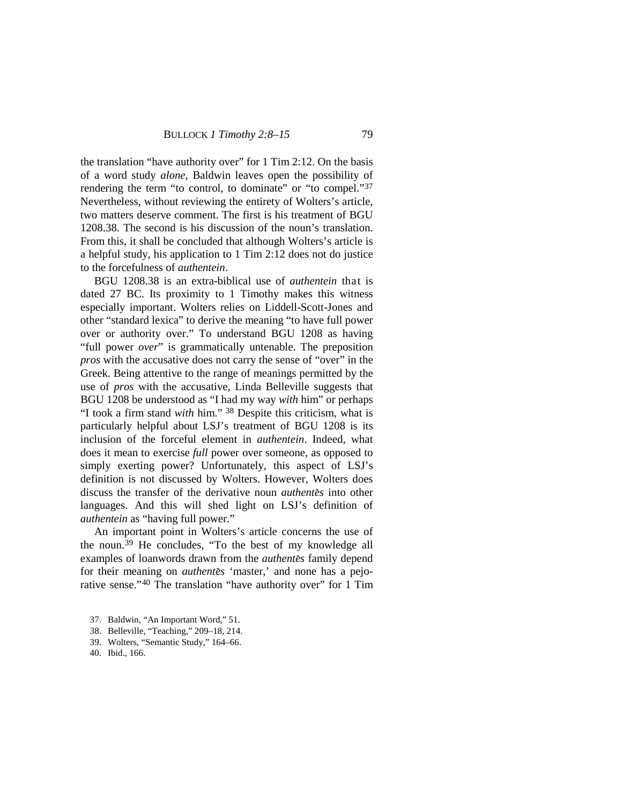the translation "have authority over" for 1 Tim 2:12. On the basis of a word study *alone*, Baldwin leaves open the possibility of rendering the term "to control, to dominate" or "to compel."[37](#page-11-0) Nevertheless, without reviewing the entirety of Wolters's article, two matters deserve comment. The first is his treatment of BGU 1208.38. The second is his discussion of the noun's translation. From this, it shall be concluded that although Wolters's article is a helpful study, his application to 1 Tim 2:12 does not do justice to the forcefulness of *authentein*.

BGU 1208.38 is an extra-biblical use of *authentein* that is dated 27 BC. Its proximity to 1 Timothy makes this witness especially important. Wolters relies on Liddell-Scott-Jones and other "standard lexica" to derive the meaning "to have full power over or authority over." To understand BGU 1208 as having "full power *over*" is grammatically untenable. The preposition *pros* with the accusative does not carry the sense of "over" in the Greek. Being attentive to the range of meanings permitted by the use of *pros* with the accusative, Linda Belleville suggests that BGU 1208 be understood as "I had my way *with* him" or perhaps "I took a firm stand *with* him." [38](#page-11-1) Despite this criticism, what is particularly helpful about LSJ's treatment of BGU 1208 is its inclusion of the forceful element in *authentein*. Indeed, what does it mean to exercise *full* power over someone, as opposed to simply exerting power? Unfortunately, this aspect of LSJ's definition is not discussed by Wolters. However, Wolters does discuss the transfer of the derivative noun *authente*<*s* into other languages. And this will shed light on LSJ's definition of *authentein* as "having full power."

An important point in Wolters's article concerns the use of the noun. [39](#page-11-2) He concludes, "To the best of my knowledge all examples of loanwords drawn from the *authente*<*s* family depend for their meaning on *authentes* 'master,' and none has a pejo-rative sense."<sup>[40](#page-11-3)</sup> The translation "have authority over" for 1 Tim

- <span id="page-11-0"></span>37. Baldwin, "An Important Word," 51.
- <span id="page-11-1"></span>38. Belleville, "Teaching," 209–18, 214.
- <span id="page-11-2"></span>39. Wolters, "Semantic Study," 164–66.
- <span id="page-11-3"></span>40. Ibid., 166.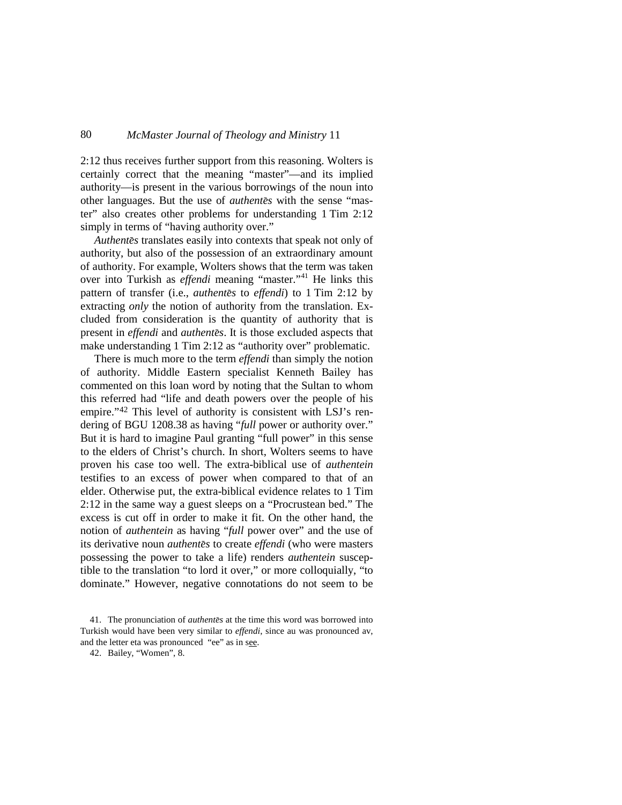2:12 thus receives further support from this reasoning. Wolters is certainly correct that the meaning "master"—and its implied authority—is present in the various borrowings of the noun into other languages. But the use of *authentes* with the sense "master" also creates other problems for understanding 1 Tim 2:12 simply in terms of "having authority over."

Authentes translates easily into contexts that speak not only of authority, but also of the possession of an extraordinary amount of authority. For example, Wolters shows that the term was taken over into Turkish as *effendi* meaning "master."<sup>[41](#page-12-0)</sup> He links this pattern of transfer (i.e., *authentes* to *effendi*) to 1 Tim 2:12 by extracting *only* the notion of authority from the translation. Excluded from consideration is the quantity of authority that is present in *effendi* and *authente*<*s*. It is those excluded aspects that make understanding 1 Tim 2:12 as "authority over" problematic.

There is much more to the term *effendi* than simply the notion of authority. Middle Eastern specialist Kenneth Bailey has commented on this loan word by noting that the Sultan to whom this referred had "life and death powers over the people of his empire."<sup>[42](#page-12-1)</sup> This level of authority is consistent with LSJ's rendering of BGU 1208.38 as having "*full* power or authority over." But it is hard to imagine Paul granting "full power" in this sense to the elders of Christ's church. In short, Wolters seems to have proven his case too well. The extra-biblical use of *authentein* testifies to an excess of power when compared to that of an elder. Otherwise put, the extra-biblical evidence relates to 1 Tim 2:12 in the same way a guest sleeps on a "Procrustean bed." The excess is cut off in order to make it fit. On the other hand, the notion of *authentein* as having "*full* power over" and the use of its derivative noun *authente*<*s* to create *effendi* (who were masters possessing the power to take a life) renders *authentein* susceptible to the translation "to lord it over," or more colloquially, "to dominate." However, negative connotations do not seem to be

<span id="page-12-1"></span><span id="page-12-0"></span><sup>41.</sup> The pronunciation of *authente*<*s* at the time this word was borrowed into Turkish would have been very similar to *effendi*, since au was pronounced av, and the letter eta was pronounced "ee" as in see.

<sup>42.</sup> Bailey, "Women", 8.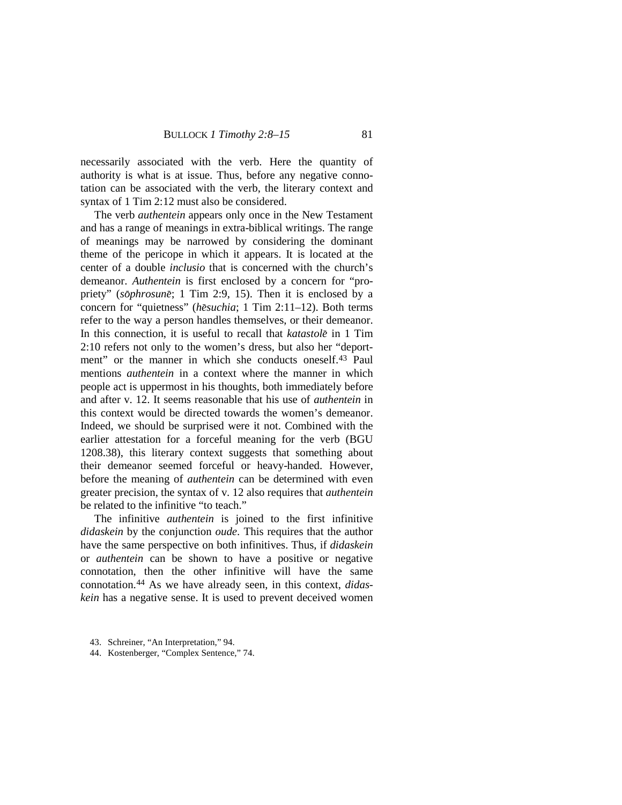necessarily associated with the verb. Here the quantity of authority is what is at issue. Thus, before any negative connotation can be associated with the verb, the literary context and syntax of 1 Tim 2:12 must also be considered.

The verb *authentein* appears only once in the New Testament and has a range of meanings in extra-biblical writings. The range of meanings may be narrowed by considering the dominant theme of the pericope in which it appears. It is located at the center of a double *inclusio* that is concerned with the church's demeanor. *Authentein* is first enclosed by a concern for "propriety" (*sōphrosunē*; 1 Tim 2:9, 15). Then it is enclosed by a concern for "quietness" (*hēsuchia*; 1 Tim 2:11-12). Both terms refer to the way a person handles themselves, or their demeanor. In this connection, it is useful to recall that *katastole*< in 1 Tim 2:10 refers not only to the women's dress, but also her "deport-ment" or the manner in which she conducts oneself.<sup>[43](#page-13-0)</sup> Paul mentions *authentein* in a context where the manner in which people act is uppermost in his thoughts, both immediately before and after v. 12. It seems reasonable that his use of *authentein* in this context would be directed towards the women's demeanor. Indeed, we should be surprised were it not. Combined with the earlier attestation for a forceful meaning for the verb (BGU 1208.38), this literary context suggests that something about their demeanor seemed forceful or heavy-handed. However, before the meaning of *authentein* can be determined with even greater precision, the syntax of v. 12 also requires that *authentein* be related to the infinitive "to teach."

The infinitive *authentein* is joined to the first infinitive *didaskein* by the conjunction *oude*. This requires that the author have the same perspective on both infinitives. Thus, if *didaskein* or *authentein* can be shown to have a positive or negative connotation, then the other infinitive will have the same connotation. [44](#page-13-1) As we have already seen, in this context, *didaskein* has a negative sense. It is used to prevent deceived women

<span id="page-13-1"></span>44. Kostenberger, "Complex Sentence," 74.

<span id="page-13-0"></span><sup>43.</sup> Schreiner, "An Interpretation," 94.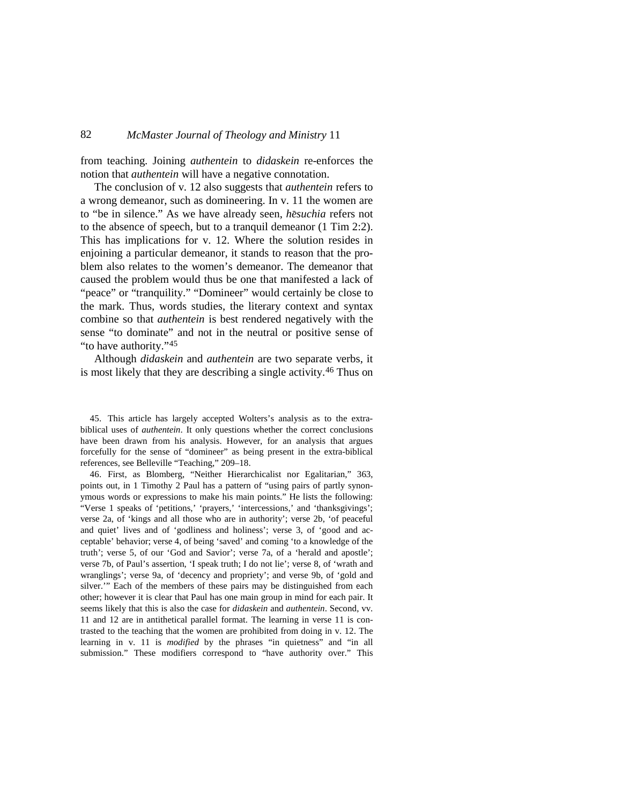from teaching. Joining *authentein* to *didaskein* re-enforces the notion that *authentein* will have a negative connotation.

The conclusion of v. 12 also suggests that *authentein* refers to a wrong demeanor, such as domineering. In v. 11 the women are to "be in silence." As we have already seen, *he suchia* refers not to the absence of speech, but to a tranquil demeanor (1 Tim 2:2). This has implications for v. 12. Where the solution resides in enjoining a particular demeanor, it stands to reason that the problem also relates to the women's demeanor. The demeanor that caused the problem would thus be one that manifested a lack of "peace" or "tranquility." "Domineer" would certainly be close to the mark. Thus, words studies, the literary context and syntax combine so that *authentein* is best rendered negatively with the sense "to dominate" and not in the neutral or positive sense of "to have authority."[45](#page-14-0)

Although *didaskein* and *authentein* are two separate verbs, it is most likely that they are describing a single activity.<sup>[46](#page-14-1)</sup> Thus on

<span id="page-14-0"></span>45. This article has largely accepted Wolters's analysis as to the extrabiblical uses of *authentein*. It only questions whether the correct conclusions have been drawn from his analysis. However, for an analysis that argues forcefully for the sense of "domineer" as being present in the extra-biblical references, see Belleville "Teaching," 209–18.

<span id="page-14-1"></span>46. First, as Blomberg, "Neither Hierarchicalist nor Egalitarian," 363, points out, in 1 Timothy 2 Paul has a pattern of "using pairs of partly synonymous words or expressions to make his main points." He lists the following: "Verse 1 speaks of 'petitions,' 'prayers,' 'intercessions,' and 'thanksgivings'; verse 2a, of 'kings and all those who are in authority'; verse 2b, 'of peaceful and quiet' lives and of 'godliness and holiness'; verse 3, of 'good and acceptable' behavior; verse 4, of being 'saved' and coming 'to a knowledge of the truth'; verse 5, of our 'God and Savior'; verse 7a, of a 'herald and apostle'; verse 7b, of Paul's assertion, 'I speak truth; I do not lie'; verse 8, of 'wrath and wranglings'; verse 9a, of 'decency and propriety'; and verse 9b, of 'gold and silver.'" Each of the members of these pairs may be distinguished from each other; however it is clear that Paul has one main group in mind for each pair. It seems likely that this is also the case for *didaskein* and *authentein*. Second, vv. 11 and 12 are in antithetical parallel format. The learning in verse 11 is contrasted to the teaching that the women are prohibited from doing in v. 12. The learning in v. 11 is *modified* by the phrases "in quietness" and "in all submission." These modifiers correspond to "have authority over." This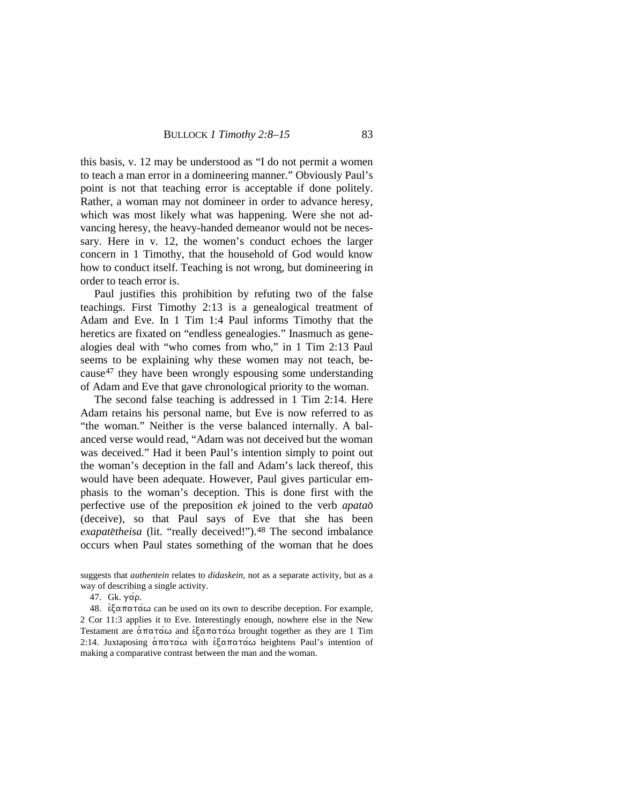this basis, v. 12 may be understood as "I do not permit a women to teach a man error in a domineering manner." Obviously Paul's point is not that teaching error is acceptable if done politely. Rather, a woman may not domineer in order to advance heresy, which was most likely what was happening. Were she not advancing heresy, the heavy-handed demeanor would not be necessary. Here in v. 12, the women's conduct echoes the larger concern in 1 Timothy, that the household of God would know how to conduct itself. Teaching is not wrong, but domineering in order to teach error is.

Paul justifies this prohibition by refuting two of the false teachings. First Timothy 2:13 is a genealogical treatment of Adam and Eve. In 1 Tim 1:4 Paul informs Timothy that the heretics are fixated on "endless genealogies." Inasmuch as genealogies deal with "who comes from who," in 1 Tim 2:13 Paul seems to be explaining why these women may not teach, because[47](#page-15-0) they have been wrongly espousing some understanding of Adam and Eve that gave chronological priority to the woman.

The second false teaching is addressed in 1 Tim 2:14. Here Adam retains his personal name, but Eve is now referred to as "the woman." Neither is the verse balanced internally. A balanced verse would read, "Adam was not deceived but the woman was deceived." Had it been Paul's intention simply to point out the woman's deception in the fall and Adam's lack thereof, this would have been adequate. However, Paul gives particular emphasis to the woman's deception. This is done first with the perfective use of the preposition *ek* joined to the verb *apatao*< (deceive), so that Paul says of Eve that she has been exapatetheisa (lit. "really deceived!").<sup>[48](#page-15-1)</sup> The second imbalance occurs when Paul states something of the woman that he does

<span id="page-15-1"></span><span id="page-15-0"></span> $48. \; \text{èξαπατάω}$  can be used on its own to describe deception. For example, 2 Cor 11:3 applies it to Eve. Interestingly enough, nowhere else in the New Testament are  $\alpha \pi \alpha \pi \alpha \omega$  and  $\epsilon \xi \alpha \pi \alpha \pi \alpha \omega$  brought together as they are 1 Tim 2:14. Juxtaposing  $\alpha \pi \alpha \alpha \omega$  with  $\epsilon \xi \alpha \pi \alpha \tau \alpha \omega$  heightens Paul's intention of making a comparative contrast between the man and the woman.

suggests that *authentein* relates to *didaskein*, not as a separate activity, but as a way of describing a single activity.

<sup>47.</sup> Gk.  $\gamma$ άρ.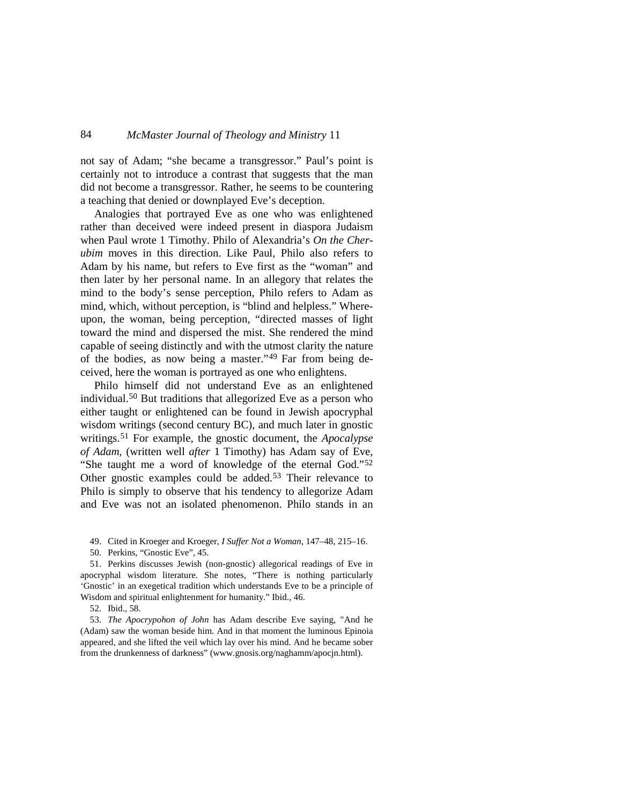not say of Adam; "she became a transgressor." Paul's point is certainly not to introduce a contrast that suggests that the man did not become a transgressor. Rather, he seems to be countering a teaching that denied or downplayed Eve's deception.

Analogies that portrayed Eve as one who was enlightened rather than deceived were indeed present in diaspora Judaism when Paul wrote 1 Timothy. Philo of Alexandria's *On the Cherubim* moves in this direction. Like Paul, Philo also refers to Adam by his name, but refers to Eve first as the "woman" and then later by her personal name. In an allegory that relates the mind to the body's sense perception, Philo refers to Adam as mind, which, without perception, is "blind and helpless." Whereupon, the woman, being perception, "directed masses of light toward the mind and dispersed the mist. She rendered the mind capable of seeing distinctly and with the utmost clarity the nature of the bodies, as now being a master."[49](#page-16-0) Far from being deceived, here the woman is portrayed as one who enlightens.

Philo himself did not understand Eve as an enlightened individual. [50](#page-16-1) But traditions that allegorized Eve as a person who either taught or enlightened can be found in Jewish apocryphal wisdom writings (second century BC), and much later in gnostic writings.[51](#page-16-2) For example, the gnostic document, the *Apocalypse of Adam*, (written well *after* 1 Timothy) has Adam say of Eve, "She taught me a word of knowledge of the eternal God."[52](#page-16-3) Other gnostic examples could be added.<sup>[53](#page-16-4)</sup> Their relevance to Philo is simply to observe that his tendency to allegorize Adam and Eve was not an isolated phenomenon. Philo stands in an

49. Cited in Kroeger and Kroeger, *I Suffer Not a Woman*, 147–48, 215–16.

50. Perkins, "Gnostic Eve", 45.

<span id="page-16-2"></span><span id="page-16-1"></span><span id="page-16-0"></span>51. Perkins discusses Jewish (non-gnostic) allegorical readings of Eve in apocryphal wisdom literature. She notes, "There is nothing particularly 'Gnostic' in an exegetical tradition which understands Eve to be a principle of Wisdom and spiritual enlightenment for humanity." Ibid., 46.

52. Ibid., 58.

<span id="page-16-4"></span><span id="page-16-3"></span>53. *The Apocrypohon of John* has Adam describe Eve saying, "And he (Adam) saw the woman beside him. And in that moment the luminous Epinoia appeared, and she lifted the veil which lay over his mind. And he became sober from the drunkenness of darkness" (www.gnosis.org/naghamm/apocjn.html).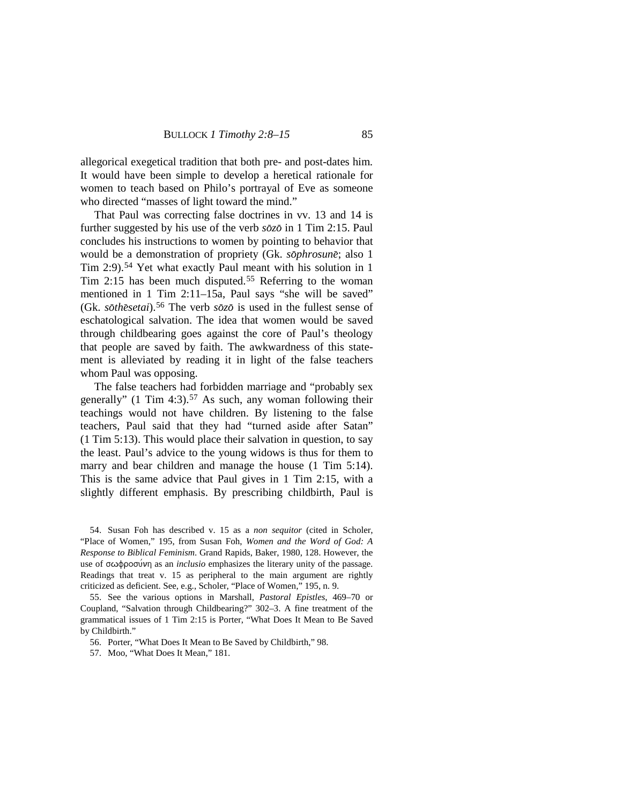allegorical exegetical tradition that both pre- and post-dates him. It would have been simple to develop a heretical rationale for women to teach based on Philo's portrayal of Eve as someone who directed "masses of light toward the mind."

That Paul was correcting false doctrines in vv. 13 and 14 is further suggested by his use of the verb  $s\bar{o}z\bar{o}$  in 1 Tim 2:15. Paul concludes his instructions to women by pointing to behavior that would be a demonstration of propriety (Gk. *sophrosune*; also 1 Tim 2:9)[.54](#page-17-0) Yet what exactly Paul meant with his solution in 1 Tim 2:15 has been much disputed.[55](#page-17-1) Referring to the woman mentioned in 1 Tim 2:11–15a, Paul says "she will be saved" (Gk. *sothesetai*).<sup>[56](#page-17-2)</sup> The verb *sozo* is used in the fullest sense of eschatological salvation. The idea that women would be saved through childbearing goes against the core of Paul's theology that people are saved by faith. The awkwardness of this statement is alleviated by reading it in light of the false teachers whom Paul was opposing.

The false teachers had forbidden marriage and "probably sex generally" (1 Tim 4:3). [57](#page-17-3) As such, any woman following their teachings would not have children. By listening to the false teachers, Paul said that they had "turned aside after Satan" (1 Tim 5:13). This would place their salvation in question, to say the least. Paul's advice to the young widows is thus for them to marry and bear children and manage the house (1 Tim 5:14). This is the same advice that Paul gives in 1 Tim 2:15, with a slightly different emphasis. By prescribing childbirth, Paul is

<span id="page-17-0"></span>54. Susan Foh has described v. 15 as a *non sequitor* (cited in Scholer, "Place of Women," 195, from Susan Foh, *Women and the Word of God: A Response to Biblical Feminism*. Grand Rapids, Baker, 1980, 128. However, the use of σωφροσύνη as an *inclusio* emphasizes the literary unity of the passage. Readings that treat v. 15 as peripheral to the main argument are rightly criticized as deficient. See, e.g., Scholer, "Place of Women," 195, n. 9.

<span id="page-17-1"></span>55. See the various options in Marshall, *Pastoral Epistles*, 469–70 or Coupland, "Salvation through Childbearing?" 302–3. A fine treatment of the grammatical issues of 1 Tim 2:15 is Porter, "What Does It Mean to Be Saved by Childbirth."

<span id="page-17-2"></span>56. Porter, "What Does It Mean to Be Saved by Childbirth," 98.

<span id="page-17-3"></span>57. Moo, "What Does It Mean," 181.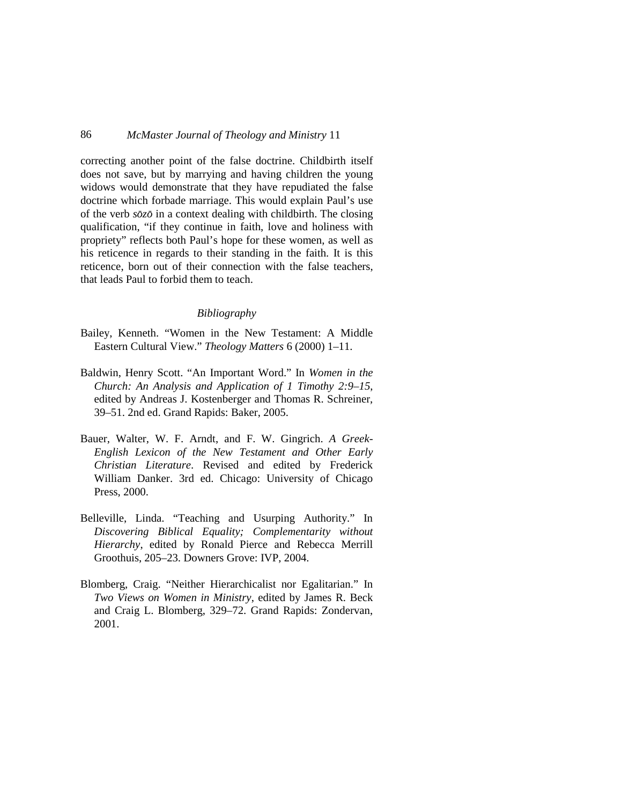correcting another point of the false doctrine. Childbirth itself does not save, but by marrying and having children the young widows would demonstrate that they have repudiated the false doctrine which forbade marriage. This would explain Paul's use of the verb  $s\bar{o}z\bar{o}$  in a context dealing with childbirth. The closing qualification, "if they continue in faith, love and holiness with propriety" reflects both Paul's hope for these women, as well as his reticence in regards to their standing in the faith. It is this reticence, born out of their connection with the false teachers, that leads Paul to forbid them to teach.

#### *Bibliography*

- Bailey, Kenneth. "Women in the New Testament: A Middle Eastern Cultural View." *Theology Matters* 6 (2000) 1–11.
- Baldwin, Henry Scott. "An Important Word." In *Women in the Church: An Analysis and Application of 1 Timothy 2:9–15*, edited by Andreas J. Kostenberger and Thomas R. Schreiner, 39–51. 2nd ed. Grand Rapids: Baker, 2005.
- Bauer, Walter, W. F. Arndt, and F. W. Gingrich. *A Greek-English Lexicon of the New Testament and Other Early Christian Literature*. Revised and edited by Frederick William Danker. 3rd ed. Chicago: University of Chicago Press, 2000.
- Belleville, Linda. "Teaching and Usurping Authority." In *Discovering Biblical Equality; Complementarity without Hierarchy*, edited by Ronald Pierce and Rebecca Merrill Groothuis, 205–23. Downers Grove: IVP, 2004.
- Blomberg, Craig. "Neither Hierarchicalist nor Egalitarian." In *Two Views on Women in Ministry*, edited by James R. Beck and Craig L. Blomberg, 329–72. Grand Rapids: Zondervan, 2001.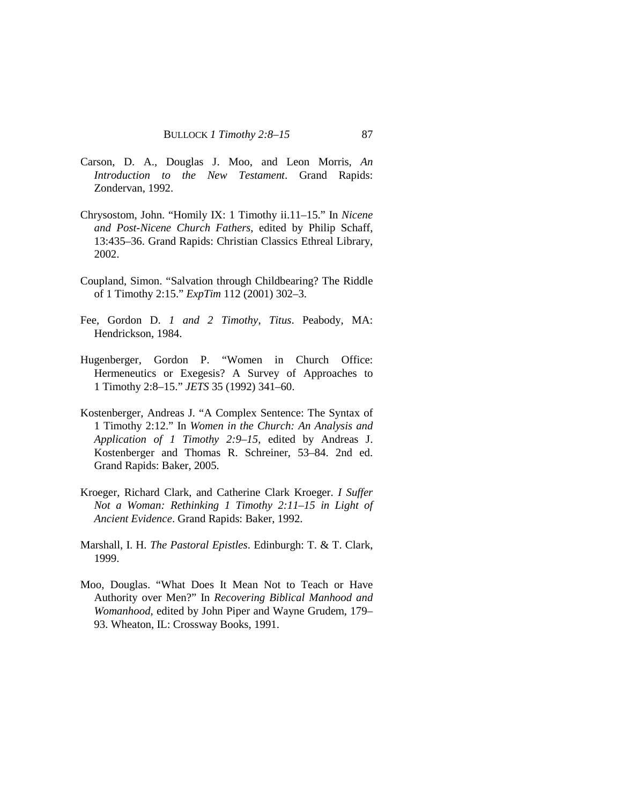- Carson, D. A., Douglas J. Moo, and Leon Morris, *An Introduction to the New Testament*. Grand Rapids: Zondervan, 1992.
- Chrysostom, John. "Homily IX: 1 Timothy ii.11–15." In *Nicene and Post-Nicene Church Fathers*, edited by Philip Schaff, 13:435–36. Grand Rapids: Christian Classics Ethreal Library, 2002.
- Coupland, Simon. "Salvation through Childbearing? The Riddle of 1 Timothy 2:15." *ExpTim* 112 (2001) 302–3.
- Fee, Gordon D. *1 and 2 Timothy*, *Titus*. Peabody, MA: Hendrickson, 1984.
- Hugenberger, Gordon P. "Women in Church Office: Hermeneutics or Exegesis? A Survey of Approaches to 1 Timothy 2:8–15." *JETS* 35 (1992) 341–60.
- Kostenberger, Andreas J. "A Complex Sentence: The Syntax of 1 Timothy 2:12." In *Women in the Church: An Analysis and Application of 1 Timothy 2:9–15*, edited by Andreas J. Kostenberger and Thomas R. Schreiner, 53–84. 2nd ed. Grand Rapids: Baker, 2005.
- Kroeger, Richard Clark, and Catherine Clark Kroeger. *I Suffer Not a Woman: Rethinking 1 Timothy 2:11–15 in Light of Ancient Evidence*. Grand Rapids: Baker, 1992.
- Marshall, I. H. *The Pastoral Epistles*. Edinburgh: T. & T. Clark, 1999.
- Moo, Douglas. "What Does It Mean Not to Teach or Have Authority over Men?" In *Recovering Biblical Manhood and Womanhood*, edited by John Piper and Wayne Grudem, 179– 93. Wheaton, IL: Crossway Books, 1991.